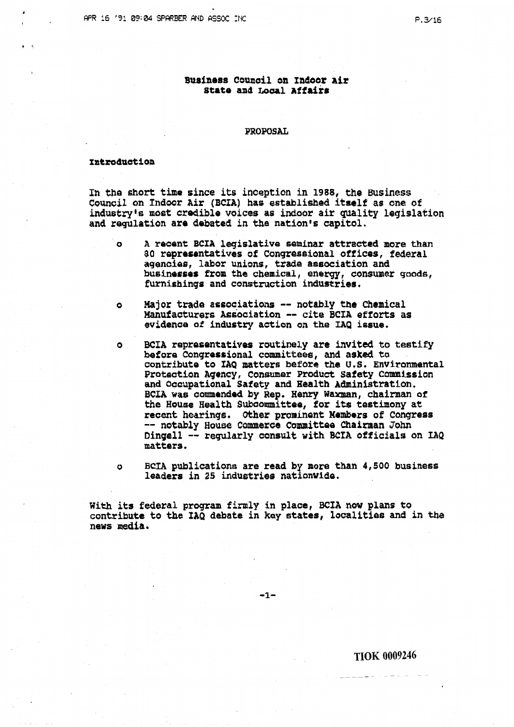# Business Council on Indoor Air State and Local Affairs

**PROPOSAL** 

# Introduction

In the short time since its inception in 1988, the Business Council on Indoor Air (BCIA) has established itself as one of industry's most credible voices as indoor air quality legislation and regulation are debated in the nation's capitol.

- $\mathbf{o}$ A recent BCIA legislative seminar attracted more than 80 representatives of Congressional offices, federal agencies, labor unions, trade association and businesses from the chemical, energy, consumer goods, furnishings and construction industries.
- Major trade associations -- notably the Chemical  $\bullet$ Manufacturers Association -- cite BCIA efforts as evidence of industry action on the IAQ issue.
- BCIA representatives routinely are invited to testify  $\bullet$ before Congressional committees, and asked to contribute to IAQ matters before the U.S. Environmental Protection Agency, Consumer Product Safety Commission and Occupational Safety and Health Administration. BCIA was commended by Rep. Henry Waxman, chairman of the House Health Subcommittee, for its testimony at recent hearings. Other prominent Members of Congress -- notably House Commerce Committee Chairman John Dingell -- regularly consult with BCIA officials on IAQ matters.
- BCIA publications are read by more than 4,500 business  $\Omega$ leaders in 25 industries nationwide.

With its federal program firmly in place, BCIA now plans to contribute to the IAQ debate in key states, localities and in the news media.

 $-1-$ 

**TIOK 0009246**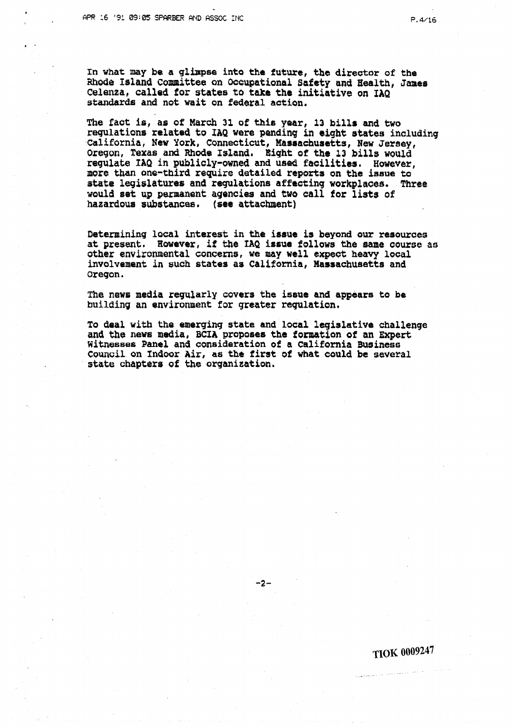*b* 

In what may be a glimpse into the future, the director of the **Mode Island committee on m~upatkonal Safety and Health, Jamea Celenza, callad for states to take the initiative on ZAQ standards and not wait on federal action.** 

**The faat is, as of March 31 of this year, 13 bills and two regulations related to IAQ were panding in eight states including california, New York, Connecticut, Massachusetts, New Jersey, Oregon, Texas and Rhode Island. Eight of the 13 bills would regulate IAQ in publicly-owned and used facilities. However, more** than **one-third require detailed reports on the issue to**  state legislatures and regulations affecting workplaces. Three **would sat up permanent agencies and two call for lists of hazardous substances.** (see attachment)

**Determining local interest in the issue is beyond our resources at present, Rowever, if the TAQ issue follows the same course as other environmental concerns, we may well expect heavy local involvement in such states as California, Massachusetta and**  Oregon.

**The news media regularly covers the issue and appears ta be**  building an environment for greater regulation.

**To deal with the emerging state and local legislative challenge and the news media, BCIA proposes the gorawtion of an Expert Witnesses Panel and consideration of a California Business Coun~il on Indoox Air, as the first of what could be several state chapters of the organization.** 

 $-2-$ 

**TIOK 0009247**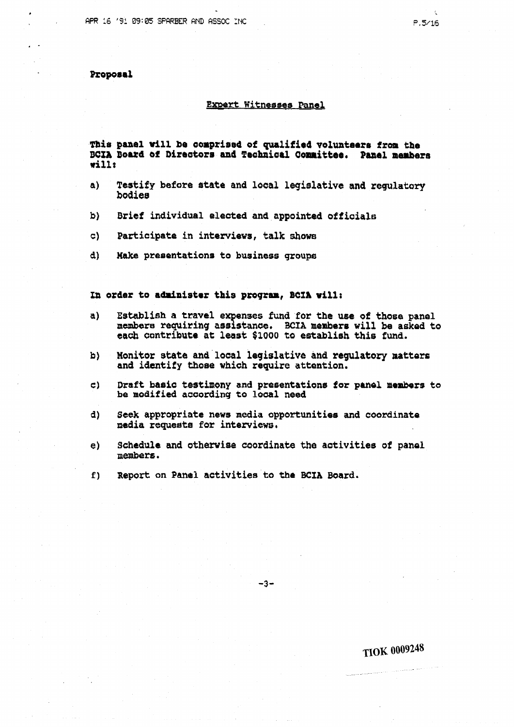# Proposal

### **Emrt Witnesses Panel**

**Thir panel will be aorprioed of qualified volunteers fron the**  BCIA Board of Directors and Technical Committee. Panel members **rill:** 

- **a) Testify before atate and local legislative and regulatory bodiea**
- **b) Brief individual elected and appointed officials**
- $c)$ **Participate in interviews, talk shows**
- **d) Make preoentations to business groups**

# **Zn order to adriniater this program, BCZA will:**

- **a) Establish a travel evenses fmd for the use of those panel members requiring asststancre, BCIA member8 will be asked to each contribute at least \$lOOQ to establish this fund.**
- **b) Monitor state and local legislative and regulatory matters and identify those which require attention.**
- **C) Draft baaic testimony and presentation8 for panel members to be modified according to loaal need**
- **d) Seek appropriate news media opportunities and coordinate media rsqueata for interviews.**
- **e) Schedule and otherwise coordinate the aotivitiee 00 panel members.**

 $-3-$ 

**f) Report on Panel activities to the BCIA Board.** 

**TlOK 0009248**